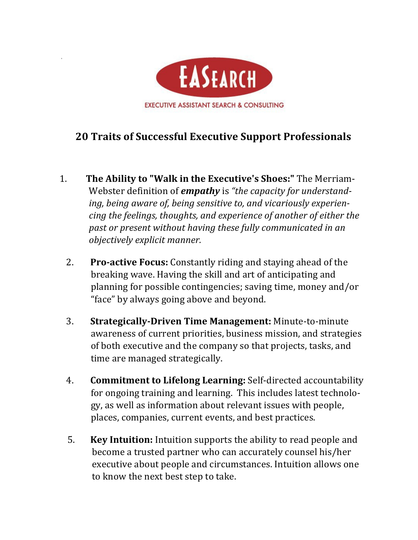

## **20 Traits of Successful Executive Support Professionals**

- 1. The Ability to "Walk in the Executive's Shoes:" The Merriam-Webster definition of **empathy** is "the capacity for understanding, being aware of, being sensitive to, and vicariously experien*cing* the feelings, thoughts, and experience of another of either the past or present without having these fully communicated in an *objectively explicit manner.*
	- 2. **Pro-active Focus:** Constantly riding and staying ahead of the breaking wave. Having the skill and art of anticipating and planning for possible contingencies; saving time, money and/or "face" by always going above and beyond.
	- **3.** Strategically-Driven Time Management: Minute-to-minute awareness of current priorities, business mission, and strategies of both executive and the company so that projects, tasks, and time are managed strategically.
	- 4. **Commitment to Lifelong Learning:** Self-directed accountability for ongoing training and learning. This includes latest technology, as well as information about relevant issues with people, places, companies, current events, and best practices.
	- **5. Key Intuition:** Intuition supports the ability to read people and become a trusted partner who can accurately counsel his/her executive about people and circumstances. Intuition allows one to know the next best step to take.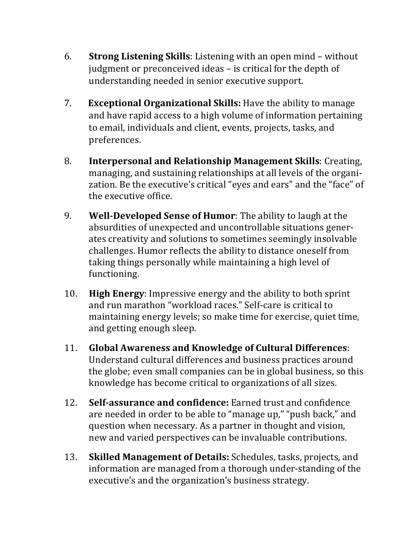- 6. **Strong Listening Skills**: Listening with an open mind without judgment or preconceived ideas – is critical for the depth of understanding needed in senior executive support.
- 7. **Exceptional Organizational Skills:** Have the ability to manage and have rapid access to a high volume of information pertaining to email, individuals and client, events, projects, tasks, and preferences.
- 8. **Interpersonal and Relationship Management Skills**: Creating, managing, and sustaining relationships at all levels of the organization. Be the executive's critical "eyes and ears" and the "face" of the executive office.
- 9. **Well-Developed Sense of Humor**: The ability to laugh at the absurdities of unexpected and uncontrollable situations generates creativity and solutions to sometimes seemingly insolvable challenges. Humor reflects the ability to distance oneself from taking things personally while maintaining a high level of functioning.
- 10. **High Energy:** Impressive energy and the ability to both sprint and run marathon "workload races." Self-care is critical to maintaining energy levels; so make time for exercise, quiet time, and getting enough sleep.
- 11. **Global Awareness and Knowledge of Cultural Differences**: Understand cultural differences and business practices around the globe; even small companies can be in global business, so this knowledge has become critical to organizations of all sizes.
- 12. **Self-assurance and confidence:** Earned trust and confidence are needed in order to be able to "manage up," "push back," and question when necessary. As a partner in thought and vision, new and varied perspectives can be invaluable contributions.
- 13. **Skilled Management of Details:** Schedules, tasks, projects, and information are managed from a thorough under-standing of the executive's and the organization's business strategy.